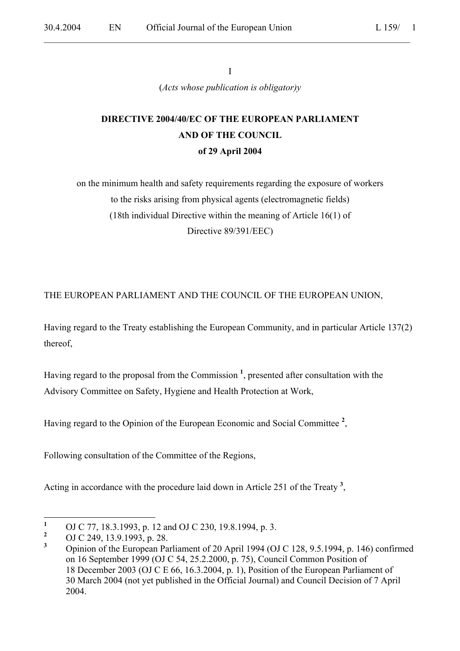I (*Acts whose publication is obligator)y*

 $\mathcal{L}_\mathcal{L} = \mathcal{L}_\mathcal{L} = \mathcal{L}_\mathcal{L} = \mathcal{L}_\mathcal{L} = \mathcal{L}_\mathcal{L} = \mathcal{L}_\mathcal{L} = \mathcal{L}_\mathcal{L} = \mathcal{L}_\mathcal{L} = \mathcal{L}_\mathcal{L} = \mathcal{L}_\mathcal{L} = \mathcal{L}_\mathcal{L} = \mathcal{L}_\mathcal{L} = \mathcal{L}_\mathcal{L} = \mathcal{L}_\mathcal{L} = \mathcal{L}_\mathcal{L} = \mathcal{L}_\mathcal{L} = \mathcal{L}_\mathcal{L}$ 

# **DIRECTIVE 2004/40/EC OF THE EUROPEAN PARLIAMENT AND OF THE COUNCIL of 29 April 2004**

on the minimum health and safety requirements regarding the exposure of workers to the risks arising from physical agents (electromagnetic fields) (18th individual Directive within the meaning of Article 16(1) of Directive 89/391/EEC)

THE EUROPEAN PARLIAMENT AND THE COUNCIL OF THE EUROPEAN UNION,

Having regard to the Treaty establishing the European Community, and in particular Article 137(2) thereof,

Having regard to the proposal from the Commission **<sup>1</sup>** , presented after consultation with the Advisory Committee on Safety, Hygiene and Health Protection at Work,

Having regard to the Opinion of the European Economic and Social Committee **<sup>2</sup>** ,

Following consultation of the Committee of the Regions,

Acting in accordance with the procedure laid down in Article 251 of the Treaty **<sup>3</sup>** ,

 **1**  $\frac{1}{2}$  OJ C 77, 18.3.1993, p. 12 and OJ C 230, 19.8.1994, p. 3.

<sup>&</sup>lt;sup>2</sup> OJ C 249, 13.9.1993, p. 28.

**<sup>3</sup>** Opinion of the European Parliament of 20 April 1994 (OJ C 128, 9.5.1994, p. 146) confirmed on 16 September 1999 (OJ C 54, 25.2.2000, p. 75), Council Common Position of 18 December 2003 (OJ C E 66, 16.3.2004, p. 1), Position of the European Parliament of 30 March 2004 (not yet published in the Official Journal) and Council Decision of 7 April 2004.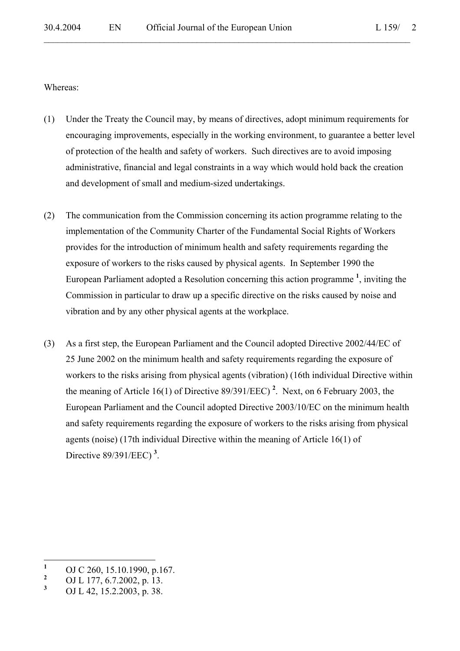Whereas:

(1) Under the Treaty the Council may, by means of directives, adopt minimum requirements for encouraging improvements, especially in the working environment, to guarantee a better level of protection of the health and safety of workers. Such directives are to avoid imposing administrative, financial and legal constraints in a way which would hold back the creation and development of small and medium-sized undertakings.

- (2) The communication from the Commission concerning its action programme relating to the implementation of the Community Charter of the Fundamental Social Rights of Workers provides for the introduction of minimum health and safety requirements regarding the exposure of workers to the risks caused by physical agents. In September 1990 the European Parliament adopted a Resolution concerning this action programme **<sup>1</sup>** , inviting the Commission in particular to draw up a specific directive on the risks caused by noise and vibration and by any other physical agents at the workplace.
- (3) As a first step, the European Parliament and the Council adopted Directive 2002/44/EC of 25 June 2002 on the minimum health and safety requirements regarding the exposure of workers to the risks arising from physical agents (vibration) (16th individual Directive within the meaning of Article 16(1) of Directive 89/391/EEC) **<sup>2</sup>** . Next, on 6 February 2003, the European Parliament and the Council adopted Directive 2003/10/EC on the minimum health and safety requirements regarding the exposure of workers to the risks arising from physical agents (noise) (17th individual Directive within the meaning of Article 16(1) of Directive 89/391/EEC) **<sup>3</sup>** .

 **1** OJ C 260, 15.10.1990, p.167.

**<sup>2</sup>** OJ L 177, 6.7.2002, p. 13.

**<sup>3</sup>** OJ L 42, 15.2.2003, p. 38.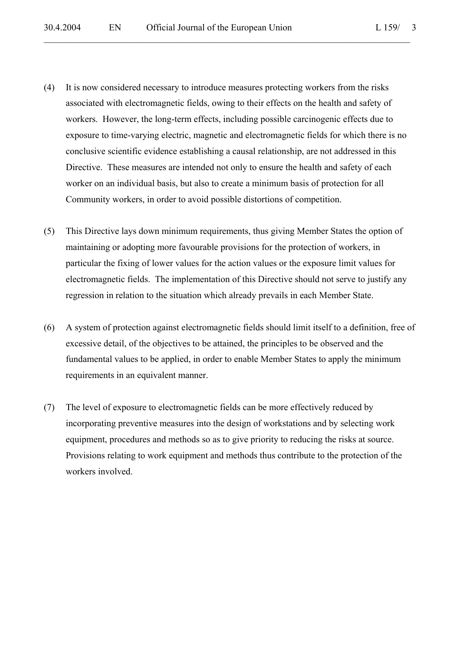(4) It is now considered necessary to introduce measures protecting workers from the risks associated with electromagnetic fields, owing to their effects on the health and safety of workers. However, the long-term effects, including possible carcinogenic effects due to exposure to time-varying electric, magnetic and electromagnetic fields for which there is no conclusive scientific evidence establishing a causal relationship, are not addressed in this Directive. These measures are intended not only to ensure the health and safety of each worker on an individual basis, but also to create a minimum basis of protection for all Community workers, in order to avoid possible distortions of competition.

- (5) This Directive lays down minimum requirements, thus giving Member States the option of maintaining or adopting more favourable provisions for the protection of workers, in particular the fixing of lower values for the action values or the exposure limit values for electromagnetic fields. The implementation of this Directive should not serve to justify any regression in relation to the situation which already prevails in each Member State.
- (6) A system of protection against electromagnetic fields should limit itself to a definition, free of excessive detail, of the objectives to be attained, the principles to be observed and the fundamental values to be applied, in order to enable Member States to apply the minimum requirements in an equivalent manner.
- (7) The level of exposure to electromagnetic fields can be more effectively reduced by incorporating preventive measures into the design of workstations and by selecting work equipment, procedures and methods so as to give priority to reducing the risks at source. Provisions relating to work equipment and methods thus contribute to the protection of the workers involved.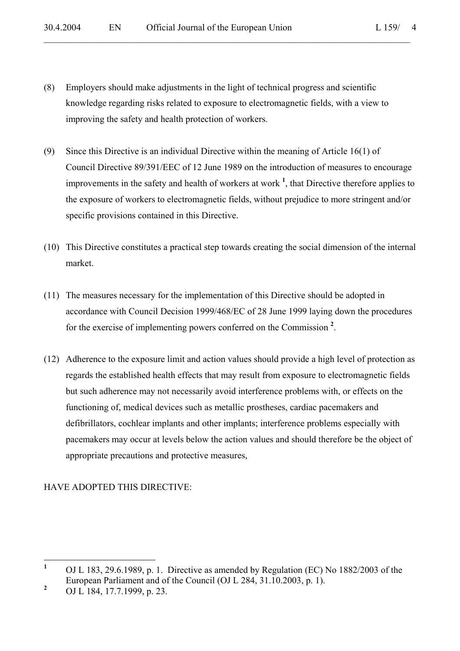(8) Employers should make adjustments in the light of technical progress and scientific knowledge regarding risks related to exposure to electromagnetic fields, with a view to improving the safety and health protection of workers.

 $\mathcal{L}_\mathcal{L} = \mathcal{L}_\mathcal{L} = \mathcal{L}_\mathcal{L} = \mathcal{L}_\mathcal{L} = \mathcal{L}_\mathcal{L} = \mathcal{L}_\mathcal{L} = \mathcal{L}_\mathcal{L} = \mathcal{L}_\mathcal{L} = \mathcal{L}_\mathcal{L} = \mathcal{L}_\mathcal{L} = \mathcal{L}_\mathcal{L} = \mathcal{L}_\mathcal{L} = \mathcal{L}_\mathcal{L} = \mathcal{L}_\mathcal{L} = \mathcal{L}_\mathcal{L} = \mathcal{L}_\mathcal{L} = \mathcal{L}_\mathcal{L}$ 

- (9) Since this Directive is an individual Directive within the meaning of Article 16(1) of Council Directive 89/391/EEC of 12 June 1989 on the introduction of measures to encourage improvements in the safety and health of workers at work  $<sup>1</sup>$ , that Directive therefore applies to</sup> the exposure of workers to electromagnetic fields, without prejudice to more stringent and/or specific provisions contained in this Directive.
- (10) This Directive constitutes a practical step towards creating the social dimension of the internal market.
- (11) The measures necessary for the implementation of this Directive should be adopted in accordance with Council Decision 1999/468/EC of 28 June 1999 laying down the procedures for the exercise of implementing powers conferred on the Commission **<sup>2</sup>** .
- (12) Adherence to the exposure limit and action values should provide a high level of protection as regards the established health effects that may result from exposure to electromagnetic fields but such adherence may not necessarily avoid interference problems with, or effects on the functioning of, medical devices such as metallic prostheses, cardiac pacemakers and defibrillators, cochlear implants and other implants; interference problems especially with pacemakers may occur at levels below the action values and should therefore be the object of appropriate precautions and protective measures,

HAVE ADOPTED THIS DIRECTIVE:

 **1** OJ L 183, 29.6.1989, p. 1. Directive as amended by Regulation (EC) No 1882/2003 of the European Parliament and of the Council (OJ L 284, 31.10.2003, p. 1).

**<sup>2</sup>** OJ L 184, 17.7.1999, p. 23.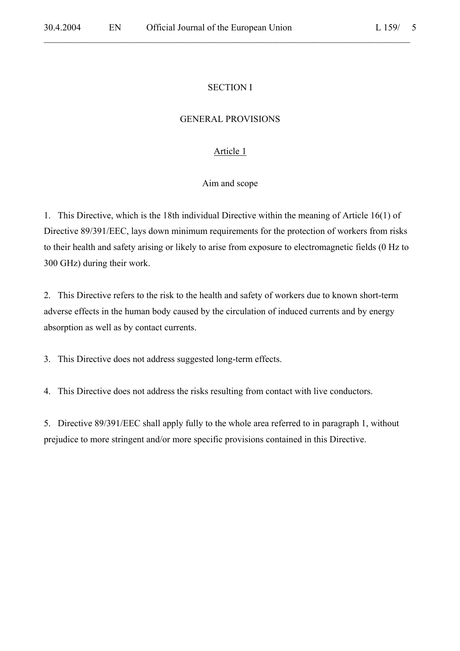### SECTION I

 $\mathcal{L}_\mathcal{L} = \mathcal{L}_\mathcal{L} = \mathcal{L}_\mathcal{L} = \mathcal{L}_\mathcal{L} = \mathcal{L}_\mathcal{L} = \mathcal{L}_\mathcal{L} = \mathcal{L}_\mathcal{L} = \mathcal{L}_\mathcal{L} = \mathcal{L}_\mathcal{L} = \mathcal{L}_\mathcal{L} = \mathcal{L}_\mathcal{L} = \mathcal{L}_\mathcal{L} = \mathcal{L}_\mathcal{L} = \mathcal{L}_\mathcal{L} = \mathcal{L}_\mathcal{L} = \mathcal{L}_\mathcal{L} = \mathcal{L}_\mathcal{L}$ 

#### GENERAL PROVISIONS

#### Article 1

#### Aim and scope

1. This Directive, which is the 18th individual Directive within the meaning of Article 16(1) of Directive 89/391/EEC, lays down minimum requirements for the protection of workers from risks to their health and safety arising or likely to arise from exposure to electromagnetic fields (0 Hz to 300 GHz) during their work.

2. This Directive refers to the risk to the health and safety of workers due to known short-term adverse effects in the human body caused by the circulation of induced currents and by energy absorption as well as by contact currents.

3. This Directive does not address suggested long-term effects.

4. This Directive does not address the risks resulting from contact with live conductors.

5. Directive 89/391/EEC shall apply fully to the whole area referred to in paragraph 1, without prejudice to more stringent and/or more specific provisions contained in this Directive.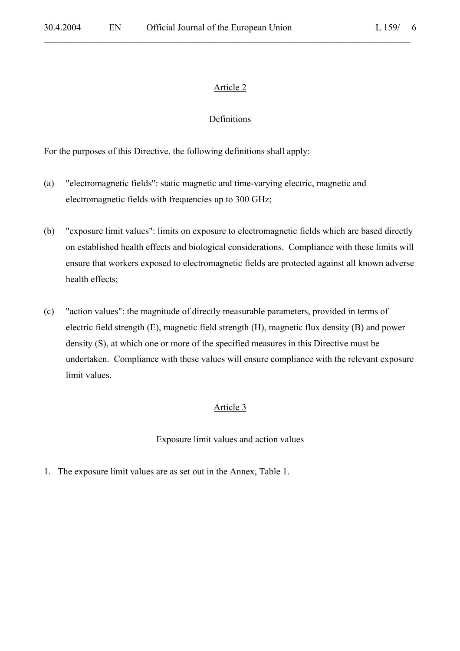$\mathcal{L}_\mathcal{L} = \mathcal{L}_\mathcal{L} = \mathcal{L}_\mathcal{L} = \mathcal{L}_\mathcal{L} = \mathcal{L}_\mathcal{L} = \mathcal{L}_\mathcal{L} = \mathcal{L}_\mathcal{L} = \mathcal{L}_\mathcal{L} = \mathcal{L}_\mathcal{L} = \mathcal{L}_\mathcal{L} = \mathcal{L}_\mathcal{L} = \mathcal{L}_\mathcal{L} = \mathcal{L}_\mathcal{L} = \mathcal{L}_\mathcal{L} = \mathcal{L}_\mathcal{L} = \mathcal{L}_\mathcal{L} = \mathcal{L}_\mathcal{L}$ 

### **Definitions**

For the purposes of this Directive, the following definitions shall apply:

- (a) "electromagnetic fields": static magnetic and time-varying electric, magnetic and electromagnetic fields with frequencies up to 300 GHz;
- (b) "exposure limit values": limits on exposure to electromagnetic fields which are based directly on established health effects and biological considerations. Compliance with these limits will ensure that workers exposed to electromagnetic fields are protected against all known adverse health effects;
- (c) "action values": the magnitude of directly measurable parameters, provided in terms of electric field strength (E), magnetic field strength (H), magnetic flux density (B) and power density (S), at which one or more of the specified measures in this Directive must be undertaken. Compliance with these values will ensure compliance with the relevant exposure limit values.

### Article 3

Exposure limit values and action values

1. The exposure limit values are as set out in the Annex, Table 1.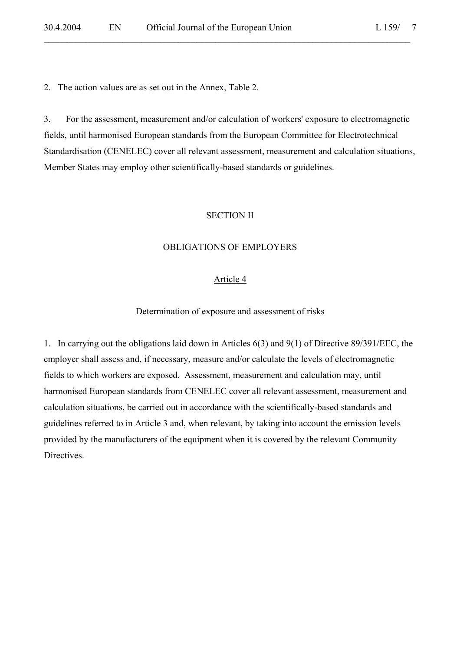2. The action values are as set out in the Annex, Table 2.

3. For the assessment, measurement and/or calculation of workers' exposure to electromagnetic fields, until harmonised European standards from the European Committee for Electrotechnical Standardisation (CENELEC) cover all relevant assessment, measurement and calculation situations, Member States may employ other scientifically-based standards or guidelines.

 $\mathcal{L}_\mathcal{L} = \mathcal{L}_\mathcal{L} = \mathcal{L}_\mathcal{L} = \mathcal{L}_\mathcal{L} = \mathcal{L}_\mathcal{L} = \mathcal{L}_\mathcal{L} = \mathcal{L}_\mathcal{L} = \mathcal{L}_\mathcal{L} = \mathcal{L}_\mathcal{L} = \mathcal{L}_\mathcal{L} = \mathcal{L}_\mathcal{L} = \mathcal{L}_\mathcal{L} = \mathcal{L}_\mathcal{L} = \mathcal{L}_\mathcal{L} = \mathcal{L}_\mathcal{L} = \mathcal{L}_\mathcal{L} = \mathcal{L}_\mathcal{L}$ 

#### SECTION II

#### OBLIGATIONS OF EMPLOYERS

#### Article 4

#### Determination of exposure and assessment of risks

1. In carrying out the obligations laid down in Articles 6(3) and 9(1) of Directive 89/391/EEC, the employer shall assess and, if necessary, measure and/or calculate the levels of electromagnetic fields to which workers are exposed. Assessment, measurement and calculation may, until harmonised European standards from CENELEC cover all relevant assessment, measurement and calculation situations, be carried out in accordance with the scientifically-based standards and guidelines referred to in Article 3 and, when relevant, by taking into account the emission levels provided by the manufacturers of the equipment when it is covered by the relevant Community Directives.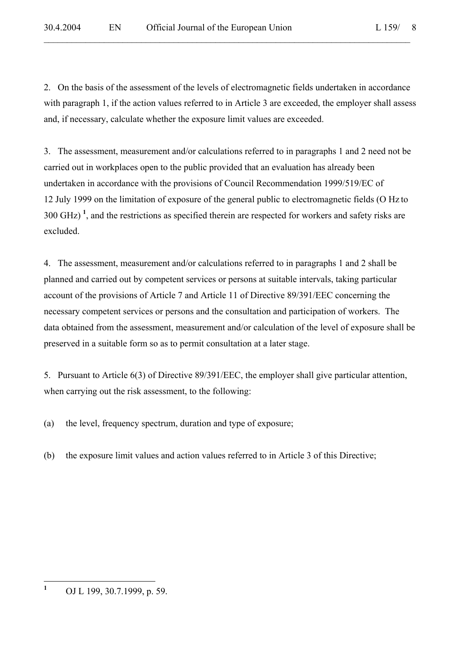2. On the basis of the assessment of the levels of electromagnetic fields undertaken in accordance with paragraph 1, if the action values referred to in Article 3 are exceeded, the employer shall assess and, if necessary, calculate whether the exposure limit values are exceeded.

 $\mathcal{L}_\mathcal{L} = \mathcal{L}_\mathcal{L} = \mathcal{L}_\mathcal{L} = \mathcal{L}_\mathcal{L} = \mathcal{L}_\mathcal{L} = \mathcal{L}_\mathcal{L} = \mathcal{L}_\mathcal{L} = \mathcal{L}_\mathcal{L} = \mathcal{L}_\mathcal{L} = \mathcal{L}_\mathcal{L} = \mathcal{L}_\mathcal{L} = \mathcal{L}_\mathcal{L} = \mathcal{L}_\mathcal{L} = \mathcal{L}_\mathcal{L} = \mathcal{L}_\mathcal{L} = \mathcal{L}_\mathcal{L} = \mathcal{L}_\mathcal{L}$ 

3. The assessment, measurement and/or calculations referred to in paragraphs 1 and 2 need not be carried out in workplaces open to the public provided that an evaluation has already been undertaken in accordance with the provisions of Council Recommendation 1999/519/EC of 12 July 1999 on the limitation of exposure of the general public to electromagnetic fields (O Hz to 300 GHz) **<sup>1</sup>** , and the restrictions as specified therein are respected for workers and safety risks are excluded.

4. The assessment, measurement and/or calculations referred to in paragraphs 1 and 2 shall be planned and carried out by competent services or persons at suitable intervals, taking particular account of the provisions of Article 7 and Article 11 of Directive 89/391/EEC concerning the necessary competent services or persons and the consultation and participation of workers. The data obtained from the assessment, measurement and/or calculation of the level of exposure shall be preserved in a suitable form so as to permit consultation at a later stage.

5. Pursuant to Article 6(3) of Directive 89/391/EEC, the employer shall give particular attention, when carrying out the risk assessment, to the following:

(a) the level, frequency spectrum, duration and type of exposure;

(b) the exposure limit values and action values referred to in Article 3 of this Directive;

 **1** OJ L 199, 30.7.1999, p. 59.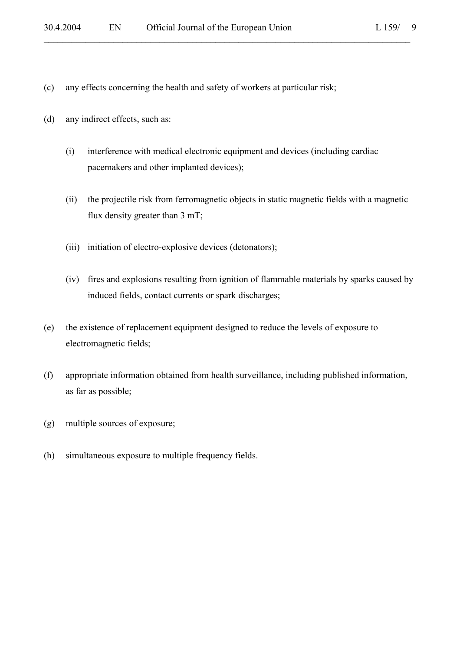- (c) any effects concerning the health and safety of workers at particular risk;
- (d) any indirect effects, such as:
	- (i) interference with medical electronic equipment and devices (including cardiac pacemakers and other implanted devices);
	- (ii) the projectile risk from ferromagnetic objects in static magnetic fields with a magnetic flux density greater than 3 mT;
	- (iii) initiation of electro-explosive devices (detonators);
	- (iv) fires and explosions resulting from ignition of flammable materials by sparks caused by induced fields, contact currents or spark discharges;
- (e) the existence of replacement equipment designed to reduce the levels of exposure to electromagnetic fields;
- (f) appropriate information obtained from health surveillance, including published information, as far as possible;
- (g) multiple sources of exposure;
- (h) simultaneous exposure to multiple frequency fields.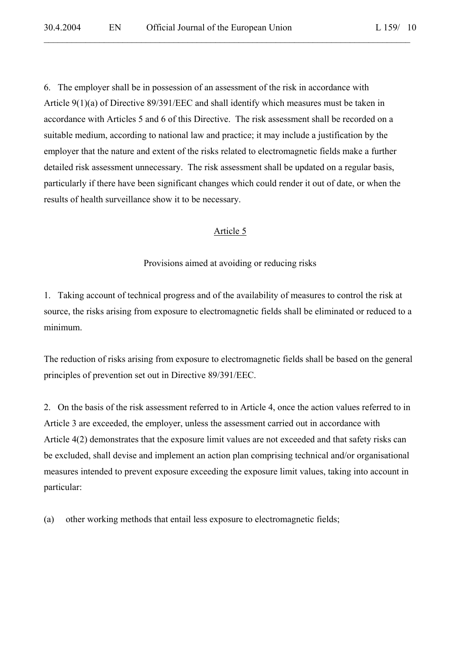6. The employer shall be in possession of an assessment of the risk in accordance with Article 9(1)(a) of Directive 89/391/EEC and shall identify which measures must be taken in accordance with Articles 5 and 6 of this Directive. The risk assessment shall be recorded on a suitable medium, according to national law and practice; it may include a justification by the employer that the nature and extent of the risks related to electromagnetic fields make a further detailed risk assessment unnecessary. The risk assessment shall be updated on a regular basis, particularly if there have been significant changes which could render it out of date, or when the results of health surveillance show it to be necessary.

 $\mathcal{L}_\mathcal{L} = \mathcal{L}_\mathcal{L} = \mathcal{L}_\mathcal{L} = \mathcal{L}_\mathcal{L} = \mathcal{L}_\mathcal{L} = \mathcal{L}_\mathcal{L} = \mathcal{L}_\mathcal{L} = \mathcal{L}_\mathcal{L} = \mathcal{L}_\mathcal{L} = \mathcal{L}_\mathcal{L} = \mathcal{L}_\mathcal{L} = \mathcal{L}_\mathcal{L} = \mathcal{L}_\mathcal{L} = \mathcal{L}_\mathcal{L} = \mathcal{L}_\mathcal{L} = \mathcal{L}_\mathcal{L} = \mathcal{L}_\mathcal{L}$ 

#### Article 5

#### Provisions aimed at avoiding or reducing risks

1. Taking account of technical progress and of the availability of measures to control the risk at source, the risks arising from exposure to electromagnetic fields shall be eliminated or reduced to a minimum.

The reduction of risks arising from exposure to electromagnetic fields shall be based on the general principles of prevention set out in Directive 89/391/EEC.

2. On the basis of the risk assessment referred to in Article 4, once the action values referred to in Article 3 are exceeded, the employer, unless the assessment carried out in accordance with Article 4(2) demonstrates that the exposure limit values are not exceeded and that safety risks can be excluded, shall devise and implement an action plan comprising technical and/or organisational measures intended to prevent exposure exceeding the exposure limit values, taking into account in particular:

(a) other working methods that entail less exposure to electromagnetic fields;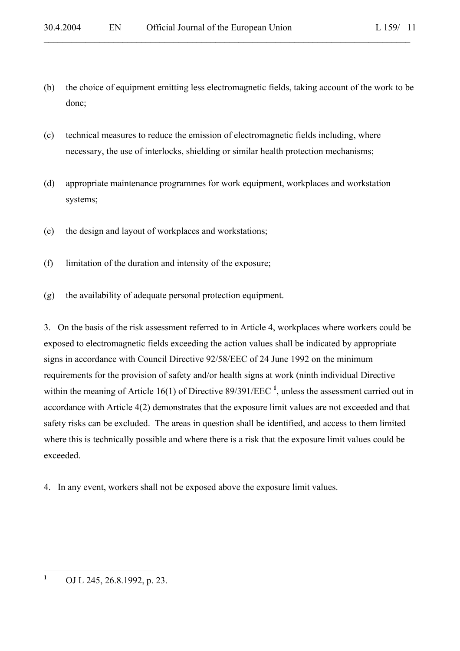(b) the choice of equipment emitting less electromagnetic fields, taking account of the work to be done;

 $\mathcal{L}_\mathcal{L} = \mathcal{L}_\mathcal{L} = \mathcal{L}_\mathcal{L} = \mathcal{L}_\mathcal{L} = \mathcal{L}_\mathcal{L} = \mathcal{L}_\mathcal{L} = \mathcal{L}_\mathcal{L} = \mathcal{L}_\mathcal{L} = \mathcal{L}_\mathcal{L} = \mathcal{L}_\mathcal{L} = \mathcal{L}_\mathcal{L} = \mathcal{L}_\mathcal{L} = \mathcal{L}_\mathcal{L} = \mathcal{L}_\mathcal{L} = \mathcal{L}_\mathcal{L} = \mathcal{L}_\mathcal{L} = \mathcal{L}_\mathcal{L}$ 

- (c) technical measures to reduce the emission of electromagnetic fields including, where necessary, the use of interlocks, shielding or similar health protection mechanisms;
- (d) appropriate maintenance programmes for work equipment, workplaces and workstation systems;
- (e) the design and layout of workplaces and workstations;
- (f) limitation of the duration and intensity of the exposure;
- (g) the availability of adequate personal protection equipment.

3. On the basis of the risk assessment referred to in Article 4, workplaces where workers could be exposed to electromagnetic fields exceeding the action values shall be indicated by appropriate signs in accordance with Council Directive 92/58/EEC of 24 June 1992 on the minimum requirements for the provision of safety and/or health signs at work (ninth individual Directive within the meaning of Article 16(1) of Directive 89/391/EEC<sup>1</sup>, unless the assessment carried out in accordance with Article 4(2) demonstrates that the exposure limit values are not exceeded and that safety risks can be excluded. The areas in question shall be identified, and access to them limited where this is technically possible and where there is a risk that the exposure limit values could be exceeded.

4. In any event, workers shall not be exposed above the exposure limit values.

 **1** OJ L 245, 26.8.1992, p. 23.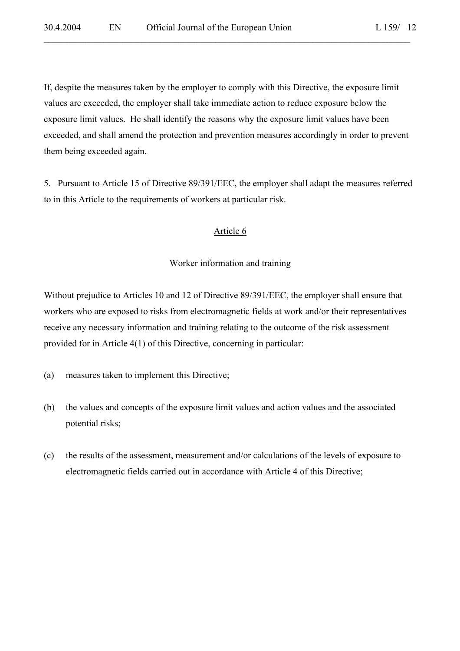If, despite the measures taken by the employer to comply with this Directive, the exposure limit values are exceeded, the employer shall take immediate action to reduce exposure below the exposure limit values. He shall identify the reasons why the exposure limit values have been exceeded, and shall amend the protection and prevention measures accordingly in order to prevent them being exceeded again.

 $\mathcal{L}_\mathcal{L} = \mathcal{L}_\mathcal{L} = \mathcal{L}_\mathcal{L} = \mathcal{L}_\mathcal{L} = \mathcal{L}_\mathcal{L} = \mathcal{L}_\mathcal{L} = \mathcal{L}_\mathcal{L} = \mathcal{L}_\mathcal{L} = \mathcal{L}_\mathcal{L} = \mathcal{L}_\mathcal{L} = \mathcal{L}_\mathcal{L} = \mathcal{L}_\mathcal{L} = \mathcal{L}_\mathcal{L} = \mathcal{L}_\mathcal{L} = \mathcal{L}_\mathcal{L} = \mathcal{L}_\mathcal{L} = \mathcal{L}_\mathcal{L}$ 

5. Pursuant to Article 15 of Directive 89/391/EEC, the employer shall adapt the measures referred to in this Article to the requirements of workers at particular risk.

#### Article 6

#### Worker information and training

Without prejudice to Articles 10 and 12 of Directive 89/391/EEC, the employer shall ensure that workers who are exposed to risks from electromagnetic fields at work and/or their representatives receive any necessary information and training relating to the outcome of the risk assessment provided for in Article 4(1) of this Directive, concerning in particular:

- (a) measures taken to implement this Directive;
- (b) the values and concepts of the exposure limit values and action values and the associated potential risks;
- (c) the results of the assessment, measurement and/or calculations of the levels of exposure to electromagnetic fields carried out in accordance with Article 4 of this Directive;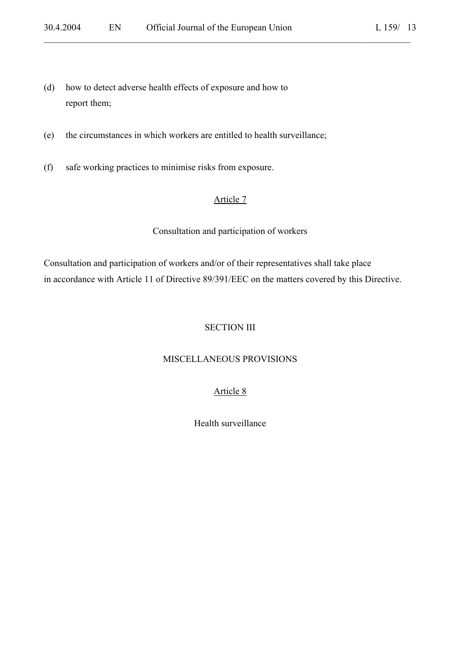- (d) how to detect adverse health effects of exposure and how to report them;
- (e) the circumstances in which workers are entitled to health surveillance;
- (f) safe working practices to minimise risks from exposure.

 $\mathcal{L}_\mathcal{L} = \mathcal{L}_\mathcal{L} = \mathcal{L}_\mathcal{L} = \mathcal{L}_\mathcal{L} = \mathcal{L}_\mathcal{L} = \mathcal{L}_\mathcal{L} = \mathcal{L}_\mathcal{L} = \mathcal{L}_\mathcal{L} = \mathcal{L}_\mathcal{L} = \mathcal{L}_\mathcal{L} = \mathcal{L}_\mathcal{L} = \mathcal{L}_\mathcal{L} = \mathcal{L}_\mathcal{L} = \mathcal{L}_\mathcal{L} = \mathcal{L}_\mathcal{L} = \mathcal{L}_\mathcal{L} = \mathcal{L}_\mathcal{L}$ 

#### Consultation and participation of workers

Consultation and participation of workers and/or of their representatives shall take place in accordance with Article 11 of Directive 89/391/EEC on the matters covered by this Directive.

### SECTION III

#### MISCELLANEOUS PROVISIONS

### Article 8

Health surveillance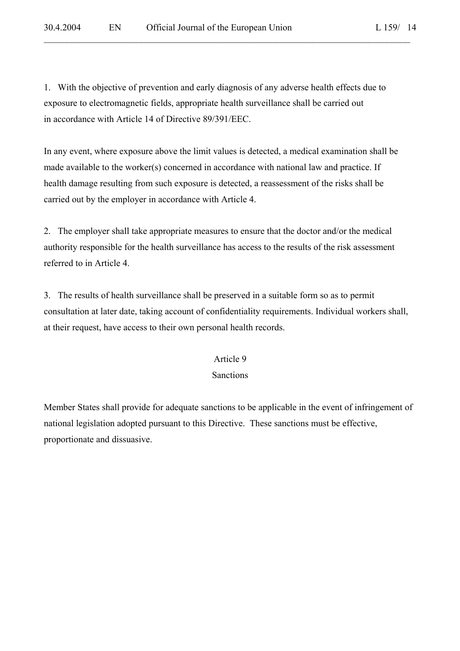1. With the objective of prevention and early diagnosis of any adverse health effects due to exposure to electromagnetic fields, appropriate health surveillance shall be carried out in accordance with Article 14 of Directive 89/391/EEC.

 $\mathcal{L}_\mathcal{L} = \mathcal{L}_\mathcal{L} = \mathcal{L}_\mathcal{L} = \mathcal{L}_\mathcal{L} = \mathcal{L}_\mathcal{L} = \mathcal{L}_\mathcal{L} = \mathcal{L}_\mathcal{L} = \mathcal{L}_\mathcal{L} = \mathcal{L}_\mathcal{L} = \mathcal{L}_\mathcal{L} = \mathcal{L}_\mathcal{L} = \mathcal{L}_\mathcal{L} = \mathcal{L}_\mathcal{L} = \mathcal{L}_\mathcal{L} = \mathcal{L}_\mathcal{L} = \mathcal{L}_\mathcal{L} = \mathcal{L}_\mathcal{L}$ 

In any event, where exposure above the limit values is detected, a medical examination shall be made available to the worker(s) concerned in accordance with national law and practice. If health damage resulting from such exposure is detected, a reassessment of the risks shall be carried out by the employer in accordance with Article 4.

2. The employer shall take appropriate measures to ensure that the doctor and/or the medical authority responsible for the health surveillance has access to the results of the risk assessment referred to in Article 4.

3. The results of health surveillance shall be preserved in a suitable form so as to permit consultation at later date, taking account of confidentiality requirements. Individual workers shall, at their request, have access to their own personal health records.

#### Article 9

#### Sanctions

Member States shall provide for adequate sanctions to be applicable in the event of infringement of national legislation adopted pursuant to this Directive. These sanctions must be effective, proportionate and dissuasive.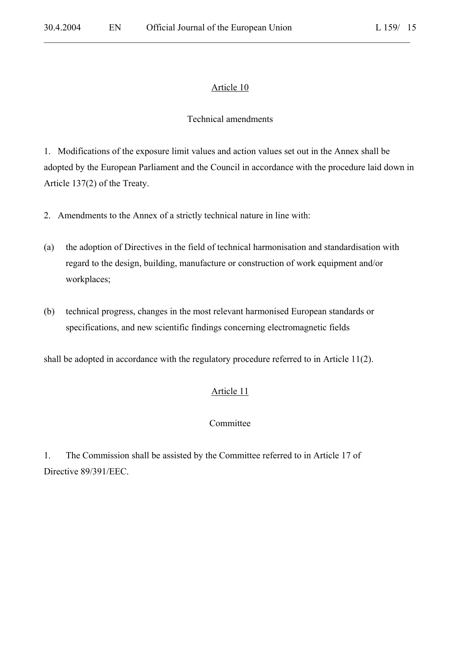$\mathcal{L}_\mathcal{L} = \mathcal{L}_\mathcal{L} = \mathcal{L}_\mathcal{L} = \mathcal{L}_\mathcal{L} = \mathcal{L}_\mathcal{L} = \mathcal{L}_\mathcal{L} = \mathcal{L}_\mathcal{L} = \mathcal{L}_\mathcal{L} = \mathcal{L}_\mathcal{L} = \mathcal{L}_\mathcal{L} = \mathcal{L}_\mathcal{L} = \mathcal{L}_\mathcal{L} = \mathcal{L}_\mathcal{L} = \mathcal{L}_\mathcal{L} = \mathcal{L}_\mathcal{L} = \mathcal{L}_\mathcal{L} = \mathcal{L}_\mathcal{L}$ 

### Technical amendments

1. Modifications of the exposure limit values and action values set out in the Annex shall be adopted by the European Parliament and the Council in accordance with the procedure laid down in Article 137(2) of the Treaty.

- 2. Amendments to the Annex of a strictly technical nature in line with:
- (a) the adoption of Directives in the field of technical harmonisation and standardisation with regard to the design, building, manufacture or construction of work equipment and/or workplaces;
- (b) technical progress, changes in the most relevant harmonised European standards or specifications, and new scientific findings concerning electromagnetic fields

shall be adopted in accordance with the regulatory procedure referred to in Article 11(2).

### Article 11

### Committee

1. The Commission shall be assisted by the Committee referred to in Article 17 of Directive 89/391/EEC.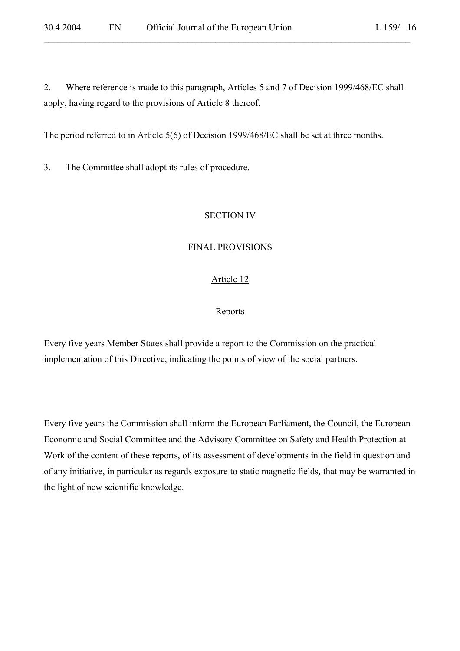2. Where reference is made to this paragraph, Articles 5 and 7 of Decision 1999/468/EC shall apply, having regard to the provisions of Article 8 thereof.

 $\mathcal{L}_\mathcal{L} = \mathcal{L}_\mathcal{L} = \mathcal{L}_\mathcal{L} = \mathcal{L}_\mathcal{L} = \mathcal{L}_\mathcal{L} = \mathcal{L}_\mathcal{L} = \mathcal{L}_\mathcal{L} = \mathcal{L}_\mathcal{L} = \mathcal{L}_\mathcal{L} = \mathcal{L}_\mathcal{L} = \mathcal{L}_\mathcal{L} = \mathcal{L}_\mathcal{L} = \mathcal{L}_\mathcal{L} = \mathcal{L}_\mathcal{L} = \mathcal{L}_\mathcal{L} = \mathcal{L}_\mathcal{L} = \mathcal{L}_\mathcal{L}$ 

The period referred to in Article 5(6) of Decision 1999/468/EC shall be set at three months.

3. The Committee shall adopt its rules of procedure.

### SECTION IV

### FINAL PROVISIONS

### Article 12

### Reports

Every five years Member States shall provide a report to the Commission on the practical implementation of this Directive, indicating the points of view of the social partners.

Every five years the Commission shall inform the European Parliament, the Council, the European Economic and Social Committee and the Advisory Committee on Safety and Health Protection at Work of the content of these reports, of its assessment of developments in the field in question and of any initiative, in particular as regards exposure to static magnetic fields*,* that may be warranted in the light of new scientific knowledge.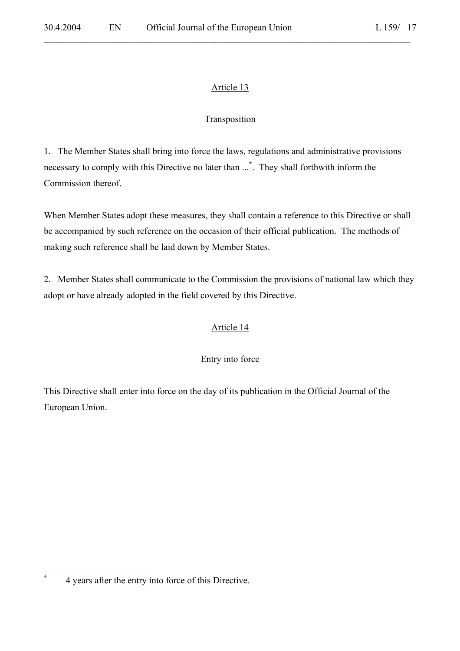$\mathcal{L}_\mathcal{L} = \mathcal{L}_\mathcal{L} = \mathcal{L}_\mathcal{L} = \mathcal{L}_\mathcal{L} = \mathcal{L}_\mathcal{L} = \mathcal{L}_\mathcal{L} = \mathcal{L}_\mathcal{L} = \mathcal{L}_\mathcal{L} = \mathcal{L}_\mathcal{L} = \mathcal{L}_\mathcal{L} = \mathcal{L}_\mathcal{L} = \mathcal{L}_\mathcal{L} = \mathcal{L}_\mathcal{L} = \mathcal{L}_\mathcal{L} = \mathcal{L}_\mathcal{L} = \mathcal{L}_\mathcal{L} = \mathcal{L}_\mathcal{L}$ 

### Transposition

1. The Member States shall bring into force the laws, regulations and administrative provisions necessary to comply with this Directive no later than ...**\*** . They shall forthwith inform the Commission thereof.

When Member States adopt these measures, they shall contain a reference to this Directive or shall be accompanied by such reference on the occasion of their official publication. The methods of making such reference shall be laid down by Member States.

2. Member States shall communicate to the Commission the provisions of national law which they adopt or have already adopted in the field covered by this Directive.

### Article 14

### Entry into force

This Directive shall enter into force on the day of its publication in the Official Journal of the European Union.

 $\overline{a}$ **\***

 <sup>4</sup> years after the entry into force of this Directive.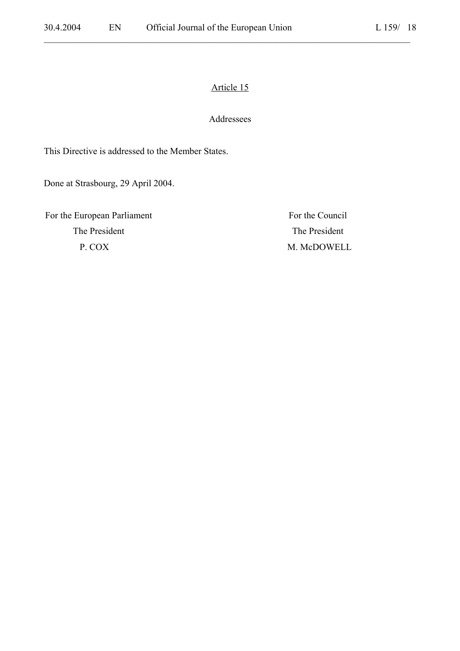$\mathcal{L}_\mathcal{L} = \mathcal{L}_\mathcal{L} = \mathcal{L}_\mathcal{L} = \mathcal{L}_\mathcal{L} = \mathcal{L}_\mathcal{L} = \mathcal{L}_\mathcal{L} = \mathcal{L}_\mathcal{L} = \mathcal{L}_\mathcal{L} = \mathcal{L}_\mathcal{L} = \mathcal{L}_\mathcal{L} = \mathcal{L}_\mathcal{L} = \mathcal{L}_\mathcal{L} = \mathcal{L}_\mathcal{L} = \mathcal{L}_\mathcal{L} = \mathcal{L}_\mathcal{L} = \mathcal{L}_\mathcal{L} = \mathcal{L}_\mathcal{L}$ 

#### Addressees

This Directive is addressed to the Member States.

Done at Strasbourg, 29 April 2004.

For the European Parliament For the Council The President The President P. COX M. McDOWELL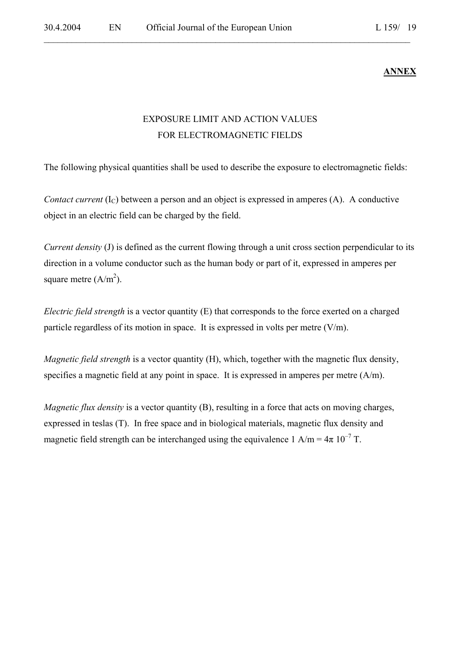### **ANNEX**

## EXPOSURE LIMIT AND ACTION VALUES FOR ELECTROMAGNETIC FIELDS

 $\mathcal{L}_\mathcal{L} = \mathcal{L}_\mathcal{L} = \mathcal{L}_\mathcal{L} = \mathcal{L}_\mathcal{L} = \mathcal{L}_\mathcal{L} = \mathcal{L}_\mathcal{L} = \mathcal{L}_\mathcal{L} = \mathcal{L}_\mathcal{L} = \mathcal{L}_\mathcal{L} = \mathcal{L}_\mathcal{L} = \mathcal{L}_\mathcal{L} = \mathcal{L}_\mathcal{L} = \mathcal{L}_\mathcal{L} = \mathcal{L}_\mathcal{L} = \mathcal{L}_\mathcal{L} = \mathcal{L}_\mathcal{L} = \mathcal{L}_\mathcal{L}$ 

The following physical quantities shall be used to describe the exposure to electromagnetic fields:

*Contact current*  $(I_C)$  between a person and an object is expressed in amperes  $(A)$ . A conductive object in an electric field can be charged by the field.

*Current density* (J) is defined as the current flowing through a unit cross section perpendicular to its direction in a volume conductor such as the human body or part of it, expressed in amperes per square metre  $(A/m^2)$ .

*Electric field strength* is a vector quantity (E) that corresponds to the force exerted on a charged particle regardless of its motion in space. It is expressed in volts per metre (V/m).

*Magnetic field strength* is a vector quantity (H), which, together with the magnetic flux density, specifies a magnetic field at any point in space. It is expressed in amperes per metre (A/m).

*Magnetic flux density* is a vector quantity (B), resulting in a force that acts on moving charges, expressed in teslas (T). In free space and in biological materials, magnetic flux density and magnetic field strength can be interchanged using the equivalence  $1 \text{ A/m} = 4\pi 10^{-7} \text{ T}$ .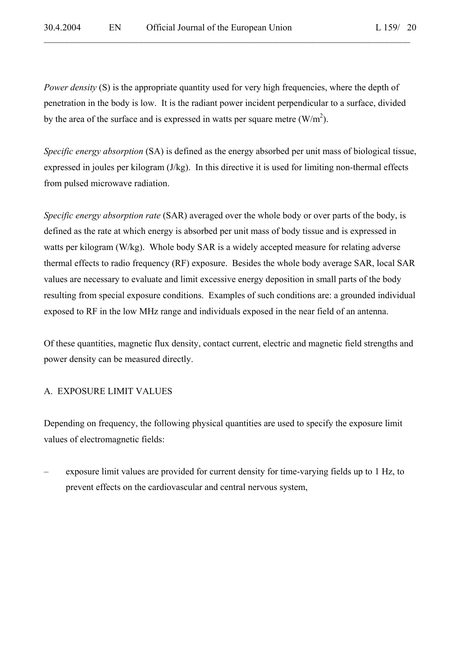*Power density* (S) is the appropriate quantity used for very high frequencies, where the depth of penetration in the body is low. It is the radiant power incident perpendicular to a surface, divided by the area of the surface and is expressed in watts per square metre  $(W/m<sup>2</sup>)$ .

 $\mathcal{L}_\mathcal{L} = \mathcal{L}_\mathcal{L} = \mathcal{L}_\mathcal{L} = \mathcal{L}_\mathcal{L} = \mathcal{L}_\mathcal{L} = \mathcal{L}_\mathcal{L} = \mathcal{L}_\mathcal{L} = \mathcal{L}_\mathcal{L} = \mathcal{L}_\mathcal{L} = \mathcal{L}_\mathcal{L} = \mathcal{L}_\mathcal{L} = \mathcal{L}_\mathcal{L} = \mathcal{L}_\mathcal{L} = \mathcal{L}_\mathcal{L} = \mathcal{L}_\mathcal{L} = \mathcal{L}_\mathcal{L} = \mathcal{L}_\mathcal{L}$ 

*Specific energy absorption* (SA) is defined as the energy absorbed per unit mass of biological tissue, expressed in joules per kilogram (J/kg). In this directive it is used for limiting non-thermal effects from pulsed microwave radiation.

*Specific energy absorption rate* (SAR) averaged over the whole body or over parts of the body, is defined as the rate at which energy is absorbed per unit mass of body tissue and is expressed in watts per kilogram (W/kg). Whole body SAR is a widely accepted measure for relating adverse thermal effects to radio frequency (RF) exposure. Besides the whole body average SAR, local SAR values are necessary to evaluate and limit excessive energy deposition in small parts of the body resulting from special exposure conditions. Examples of such conditions are: a grounded individual exposed to RF in the low MHz range and individuals exposed in the near field of an antenna.

Of these quantities, magnetic flux density, contact current, electric and magnetic field strengths and power density can be measured directly.

#### A. EXPOSURE LIMIT VALUES

Depending on frequency, the following physical quantities are used to specify the exposure limit values of electromagnetic fields:

– exposure limit values are provided for current density for time-varying fields up to 1 Hz, to prevent effects on the cardiovascular and central nervous system,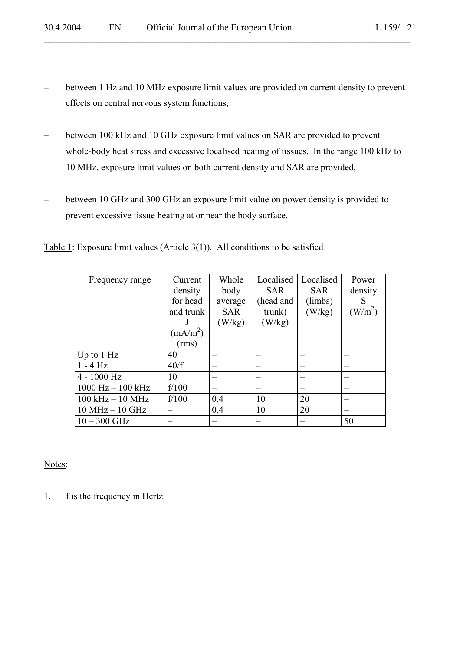– between 1 Hz and 10 MHz exposure limit values are provided on current density to prevent effects on central nervous system functions,

 $\mathcal{L}_\mathcal{L} = \mathcal{L}_\mathcal{L} = \mathcal{L}_\mathcal{L} = \mathcal{L}_\mathcal{L} = \mathcal{L}_\mathcal{L} = \mathcal{L}_\mathcal{L} = \mathcal{L}_\mathcal{L} = \mathcal{L}_\mathcal{L} = \mathcal{L}_\mathcal{L} = \mathcal{L}_\mathcal{L} = \mathcal{L}_\mathcal{L} = \mathcal{L}_\mathcal{L} = \mathcal{L}_\mathcal{L} = \mathcal{L}_\mathcal{L} = \mathcal{L}_\mathcal{L} = \mathcal{L}_\mathcal{L} = \mathcal{L}_\mathcal{L}$ 

- between 100 kHz and 10 GHz exposure limit values on SAR are provided to prevent whole-body heat stress and excessive localised heating of tissues. In the range 100 kHz to 10 MHz, exposure limit values on both current density and SAR are provided,
- between 10 GHz and 300 GHz an exposure limit value on power density is provided to prevent excessive tissue heating at or near the body surface.

Table 1: Exposure limit values (Article 3(1)). All conditions to be satisfied

| Frequency range       | Current              | Whole      | Localised  | Localised  | Power               |
|-----------------------|----------------------|------------|------------|------------|---------------------|
|                       | density              | body       | <b>SAR</b> | <b>SAR</b> | density             |
|                       | for head             | average    | (head and  | (limb)     | S                   |
|                       | and trunk            | <b>SAR</b> | trunk)     | (W/kg)     | (W/m <sup>2</sup> ) |
|                       |                      | (W/kg)     | (W/kg)     |            |                     |
|                       | (mA/m <sup>2</sup> ) |            |            |            |                     |
|                       | (rms)                |            |            |            |                     |
| Up to $1$ Hz          | 40                   |            |            |            |                     |
| $1 - 4$ Hz            | 40/f                 |            |            |            |                     |
| $4 - 1000$ Hz         | 10                   |            |            |            |                     |
| $1000$ Hz $- 100$ kHz | f/100                |            |            |            |                     |
| $100$ kHz $- 10$ MHz  | f/100                | 0,4        | 10         | 20         |                     |
| $10 MHz - 10 GHz$     |                      | 0,4        | 10         | 20         |                     |
| $10 - 300$ GHz        |                      |            |            |            | 50                  |

Notes:

1. f is the frequency in Hertz.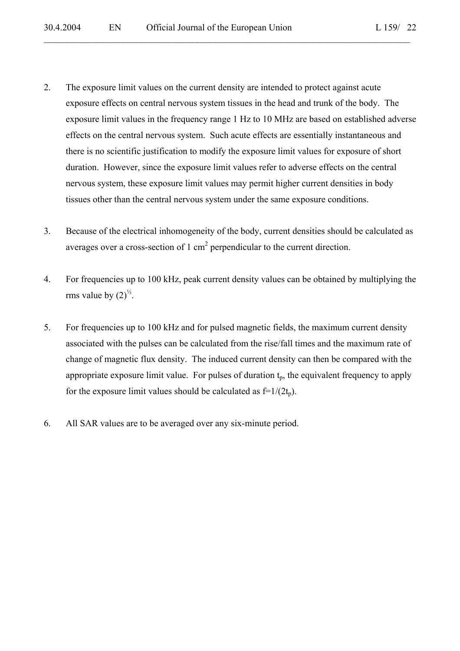2. The exposure limit values on the current density are intended to protect against acute exposure effects on central nervous system tissues in the head and trunk of the body. The exposure limit values in the frequency range 1 Hz to 10 MHz are based on established adverse effects on the central nervous system. Such acute effects are essentially instantaneous and there is no scientific justification to modify the exposure limit values for exposure of short duration. However, since the exposure limit values refer to adverse effects on the central nervous system, these exposure limit values may permit higher current densities in body tissues other than the central nervous system under the same exposure conditions.

- 3. Because of the electrical inhomogeneity of the body, current densities should be calculated as averages over a cross-section of 1 cm<sup>2</sup> perpendicular to the current direction.
- 4. For frequencies up to 100 kHz, peak current density values can be obtained by multiplying the rms value by  $(2)^{\frac{1}{2}}$ .
- 5. For frequencies up to 100 kHz and for pulsed magnetic fields, the maximum current density associated with the pulses can be calculated from the rise/fall times and the maximum rate of change of magnetic flux density. The induced current density can then be compared with the appropriate exposure limit value. For pulses of duration  $t_p$ , the equivalent frequency to apply for the exposure limit values should be calculated as  $f=1/(2t_p)$ .
- 6. All SAR values are to be averaged over any six-minute period.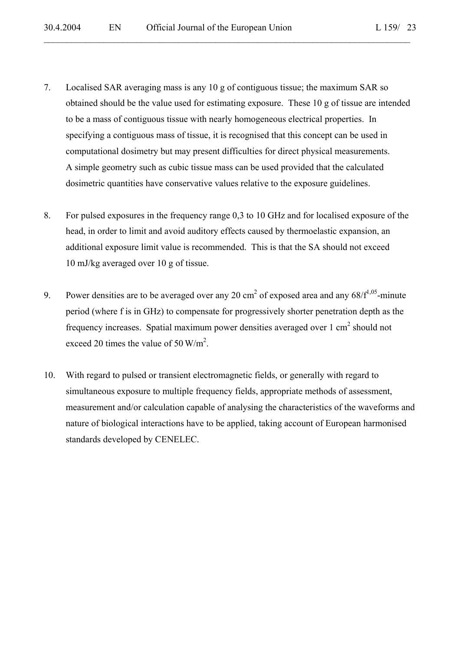7. Localised SAR averaging mass is any 10 g of contiguous tissue; the maximum SAR so obtained should be the value used for estimating exposure. These 10 g of tissue are intended to be a mass of contiguous tissue with nearly homogeneous electrical properties. In specifying a contiguous mass of tissue, it is recognised that this concept can be used in computational dosimetry but may present difficulties for direct physical measurements. A simple geometry such as cubic tissue mass can be used provided that the calculated dosimetric quantities have conservative values relative to the exposure guidelines.

- 8. For pulsed exposures in the frequency range 0,3 to 10 GHz and for localised exposure of the head, in order to limit and avoid auditory effects caused by thermoelastic expansion, an additional exposure limit value is recommended. This is that the SA should not exceed 10 mJ/kg averaged over 10 g of tissue.
- 9. Power densities are to be averaged over any 20 cm<sup>2</sup> of exposed area and any  $68/f^{1,05}$ -minute period (where f is in GHz) to compensate for progressively shorter penetration depth as the frequency increases. Spatial maximum power densities averaged over  $1 \text{ cm}^2$  should not exceed 20 times the value of 50  $W/m<sup>2</sup>$ .
- 10. With regard to pulsed or transient electromagnetic fields, or generally with regard to simultaneous exposure to multiple frequency fields, appropriate methods of assessment, measurement and/or calculation capable of analysing the characteristics of the waveforms and nature of biological interactions have to be applied, taking account of European harmonised standards developed by CENELEC.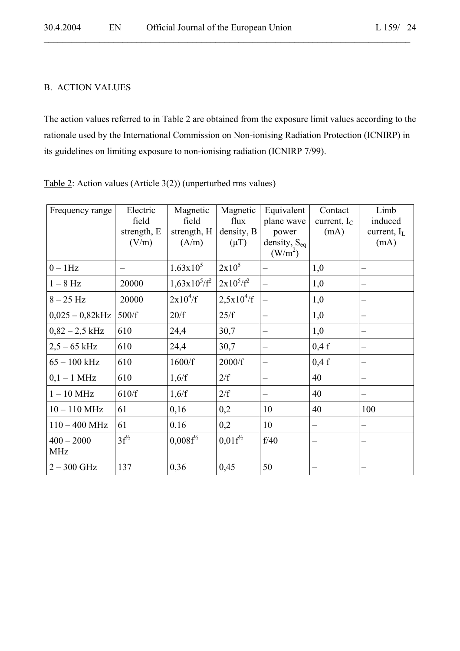#### B. ACTION VALUES

The action values referred to in Table 2 are obtained from the exposure limit values according to the rationale used by the International Commission on Non-ionising Radiation Protection (ICNIRP) in its guidelines on limiting exposure to non-ionising radiation (ICNIRP 7/99).

| Frequency range            | Electric    | Magnetic        | Magnetic       | Equivalent                               | Contact        | Limb              |
|----------------------------|-------------|-----------------|----------------|------------------------------------------|----------------|-------------------|
|                            | field       | field           | flux           | plane wave                               | current, $I_C$ | induced           |
|                            | strength, E | strength, H     | density, B     | power                                    | (mA)           | current, $I_L$    |
|                            | (V/m)       | (A/m)           | $(\mu T)$      | density, $S_{eq}$<br>(W/m <sup>2</sup> ) |                | (mA)              |
| $0-1Hz$                    |             | $1,63x10^5$     | $2x10^5$       |                                          | 1,0            |                   |
| $1-8$ Hz                   | 20000       | $1,63x10^5/f^2$ | $2x10^5/f^2$   | $\qquad \qquad -$                        | 1,0            | $\qquad \qquad -$ |
| $8-25$ Hz                  | 20000       | $2x10^4/f$      | $2,5x10^{4}/f$ |                                          | 1,0            |                   |
| $0,025 - 0,82kHz$          | 500/f       | 20/f            | 25/f           |                                          | 1,0            |                   |
| $0,82 - 2,5$ kHz           | 610         | 24,4            | 30,7           |                                          | 1,0            |                   |
| $2,5 - 65$ kHz             | 610         | 24,4            | 30,7           |                                          | 0,4f           |                   |
| $65 - 100$ kHz             | 610         | 1600/f          | 2000/f         | $\overline{\phantom{0}}$                 | 0.4f           |                   |
| $0,1 - 1$ MHz              | 610         | 1,6/f           | 2/f            | $\qquad \qquad -$                        | 40             | $\qquad \qquad -$ |
| $1 - 10$ MHz               | 610/f       | 1,6/f           | 2/f            |                                          | 40             |                   |
| $10 - 110$ MHz             | 61          | 0,16            | 0,2            | 10                                       | 40             | 100               |
| $110 - 400$ MHz            | 61          | 0,16            | 0,2            | 10                                       |                | $\qquad \qquad -$ |
| $400 - 2000$<br><b>MHz</b> | $3f^{1/2}$  | $0.008f^{1/2}$  | $0.01f^{1/2}$  | f/40                                     |                |                   |
| $2 - 300$ GHz              | 137         | 0,36            | 0,45           | 50                                       |                |                   |

Table 2: Action values (Article 3(2)) (unperturbed rms values)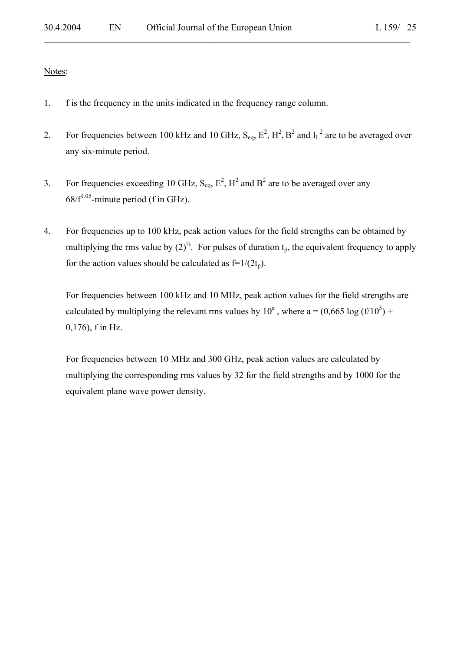#### Notes:

- 1. f is the frequency in the units indicated in the frequency range column.
- 2. For frequencies between 100 kHz and 10 GHz,  $S_{eq}$ ,  $E^2$ ,  $H^2$ ,  $B^2$  and  $I_L^2$  are to be averaged over any six-minute period.

 $\mathcal{L}_\mathcal{L} = \mathcal{L}_\mathcal{L} = \mathcal{L}_\mathcal{L} = \mathcal{L}_\mathcal{L} = \mathcal{L}_\mathcal{L} = \mathcal{L}_\mathcal{L} = \mathcal{L}_\mathcal{L} = \mathcal{L}_\mathcal{L} = \mathcal{L}_\mathcal{L} = \mathcal{L}_\mathcal{L} = \mathcal{L}_\mathcal{L} = \mathcal{L}_\mathcal{L} = \mathcal{L}_\mathcal{L} = \mathcal{L}_\mathcal{L} = \mathcal{L}_\mathcal{L} = \mathcal{L}_\mathcal{L} = \mathcal{L}_\mathcal{L}$ 

- 3. For frequencies exceeding 10 GHz,  $S_{eq}$ ,  $E^2$ ,  $H^2$  and  $B^2$  are to be averaged over any  $68/f^{1.05}$ -minute period (f in GHz).
- 4. For frequencies up to 100 kHz, peak action values for the field strengths can be obtained by multiplying the rms value by  $(2)^{\frac{1}{2}}$ . For pulses of duration  $t_p$ , the equivalent frequency to apply for the action values should be calculated as  $f=1/(2t_p)$ .

For frequencies between 100 kHz and 10 MHz, peak action values for the field strengths are calculated by multiplying the relevant rms values by  $10^a$ , where a =  $(0.665 \log (f/10^5) +$ 0,176), f in Hz.

For frequencies between 10 MHz and 300 GHz, peak action values are calculated by multiplying the corresponding rms values by 32 for the field strengths and by 1000 for the equivalent plane wave power density.